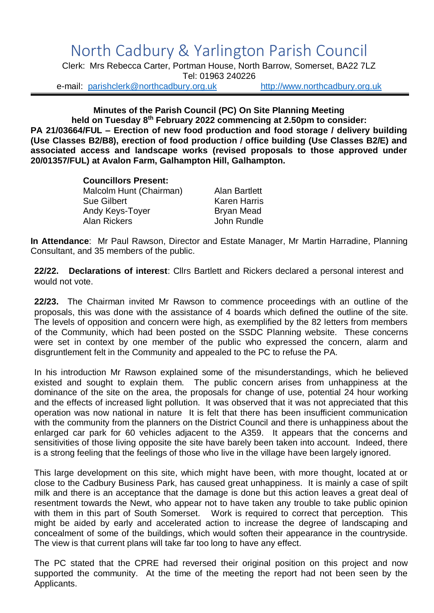## North Cadbury & Yarlington Parish Council

Clerk: Mrs Rebecca Carter, Portman House, North Barrow, Somerset, BA22 7LZ Tel: 01963 240226

e-mail: [parishclerk@northcadbury.org.uk](mailto:parishclerk@northcadbury.org.uk) [http://www.northcadbury.org.uk](http://www.northcadbury.org.uk/)

**Minutes of the Parish Council (PC) On Site Planning Meeting held on Tuesday 8 th February 2022 commencing at 2.50pm to consider: PA 21/03664/FUL – Erection of new food production and food storage / delivery building (Use Classes B2/B8), erection of food production / office building (Use Classes B2/E) and associated access and landscape works (revised proposals to those approved under 20/01357/FUL) at Avalon Farm, Galhampton Hill, Galhampton.**

> **Councillors Present:** Malcolm Hunt (Chairman) Alan Bartlett Sue Gilbert Karen Harris Andy Keys-Toyer Bryan Mead Alan Rickers **Alan Rundle**

**In Attendance**: Mr Paul Rawson, Director and Estate Manager, Mr Martin Harradine, Planning Consultant, and 35 members of the public.

**22/22. Declarations of interest**: Cllrs Bartlett and Rickers declared a personal interest and would not vote.

**22/23.** The Chairman invited Mr Rawson to commence proceedings with an outline of the proposals, this was done with the assistance of 4 boards which defined the outline of the site. The levels of opposition and concern were high, as exemplified by the 82 letters from members of the Community, which had been posted on the SSDC Planning website. These concerns were set in context by one member of the public who expressed the concern, alarm and disgruntlement felt in the Community and appealed to the PC to refuse the PA.

In his introduction Mr Rawson explained some of the misunderstandings, which he believed existed and sought to explain them. The public concern arises from unhappiness at the dominance of the site on the area, the proposals for change of use, potential 24 hour working and the effects of increased light pollution. It was observed that it was not appreciated that this operation was now national in nature It is felt that there has been insufficient communication with the community from the planners on the District Council and there is unhappiness about the enlarged car park for 60 vehicles adjacent to the A359. It appears that the concerns and sensitivities of those living opposite the site have barely been taken into account. Indeed, there is a strong feeling that the feelings of those who live in the village have been largely ignored.

This large development on this site, which might have been, with more thought, located at or close to the Cadbury Business Park, has caused great unhappiness. It is mainly a case of spilt milk and there is an acceptance that the damage is done but this action leaves a great deal of resentment towards the Newt, who appear not to have taken any trouble to take public opinion with them in this part of South Somerset. Work is required to correct that perception. This might be aided by early and accelerated action to increase the degree of landscaping and concealment of some of the buildings, which would soften their appearance in the countryside. The view is that current plans will take far too long to have any effect.

The PC stated that the CPRE had reversed their original position on this project and now supported the community. At the time of the meeting the report had not been seen by the Applicants.